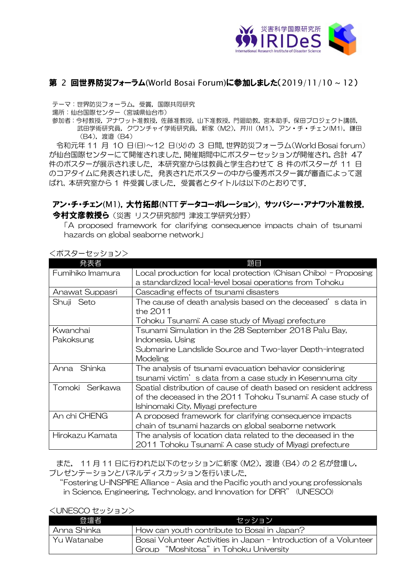

## 第 2 回世界防災フォーラム(World Bosai Forum)**に参加しました(**2019/11/10~12)

テーマ:世界防災フォーラム,受賞,国際共同研究

場所:仙台国際センター(宮城県仙台市)

参加者:今村教授,アナワット准教授,佐藤准教授,山下准教授,門廻助教,宮本助手,保田プロジェクト講師, 武田学術研究員,クワンチャイ学術研究員,新家 (M2), 芹川 (M1), アン・チ・チェン(M1), 鎌田 (B4),渡邉(B4)

令和元年 11 月 10 日(日)~12 日(火)の 3 日間.世界防災フォーラム(World Bosai forum) が仙台国際センターにて開催されました.開催期間中にポスターセッションが開催され,合計 47 件のポスターが展示されました. 本研究室からは教員と学生合わせて 8 件のポスターが 11 日 のコアタイムに発表されました.発表されたポスターの中から優秀ポスター賞が審査によって選 ばれ, 本研究室から 1 件受賞しました.受賞者とタイトルは以下のとおりです.

## アン・チ・チェン(M1),大竹拓郎(NTT データコーポレーション), サッパシー・アナワット准教授, 今村文彦教授ら (災害 リスク研究部門 津波工学研究分野)

「A proposed framework for clarifying consequence impacts chain of tsunami hazards on global seaborne network」

|                  | 題目                                                               |
|------------------|------------------------------------------------------------------|
| Fumihiko Imamura | Local production for local protection (Chisan Chibo) - Proposing |
|                  | a standardized local-level bosai operations from Tohoku          |
| Anawat Suppasri  | Cascading effects of tsunami disasters                           |
| Shuji Seto       | The cause of death analysis based on the deceased's data in      |
|                  | the 2011                                                         |
|                  | Tohoku Tsunami: A case study of Miyagi prefecture                |
| Kwanchai         | Tsunami Simulation in the 28 September 2018 Palu Bay,            |
| Pakoksung        | Indonesia, Using                                                 |
|                  | Submarine Landslide Source and Two-layer Depth-integrated        |
|                  | Modeling                                                         |
| Shinka<br>Anna   | The analysis of tsunami evacuation behavior considering          |
|                  | tsunami victim's data from a case study in Kesennuma city        |
| Tomoki Serikawa  | Spatial distribution of cause of death based on resident address |
|                  | of the deceased in the 2011 Tohoku Tsunami: A case study of      |
|                  | Ishinomaki City, Miyagi prefecture                               |
| An chi CHENG     | A proposed framework for clarifying consequence impacts          |
|                  | chain of tsunami hazards on global seaborne network              |
| Hirokazu Kamata  | The analysis of location data related to the deceased in the     |
|                  | 2011 Tohoku Tsunami: A case study of Miyagi prefecture           |

<ポスターセッション>

また, 11 月 11 日に行われた以下のセッションに新家(M2),渡邉(B4)の 2 名が登壇し, プレゼンテーションとパネルディスカッションを行いました.

"Fostering U-INSPIRE Alliance – Asia and the Pacific youth and young professionals in Science, Engineering, Technology, and Innovation for DRR" (UNESCO)

## <UNESCO セッション>

| 登壇者           | ヤッション                                                             |
|---------------|-------------------------------------------------------------------|
| l Anna Shinka | How can youth contribute to Bosai in Japan?                       |
| l Yu Watanabe | Bosai Volunteer Activities in Japan - Introduction of a Volunteer |
|               | Group "Moshitosa" in Tohoku University                            |